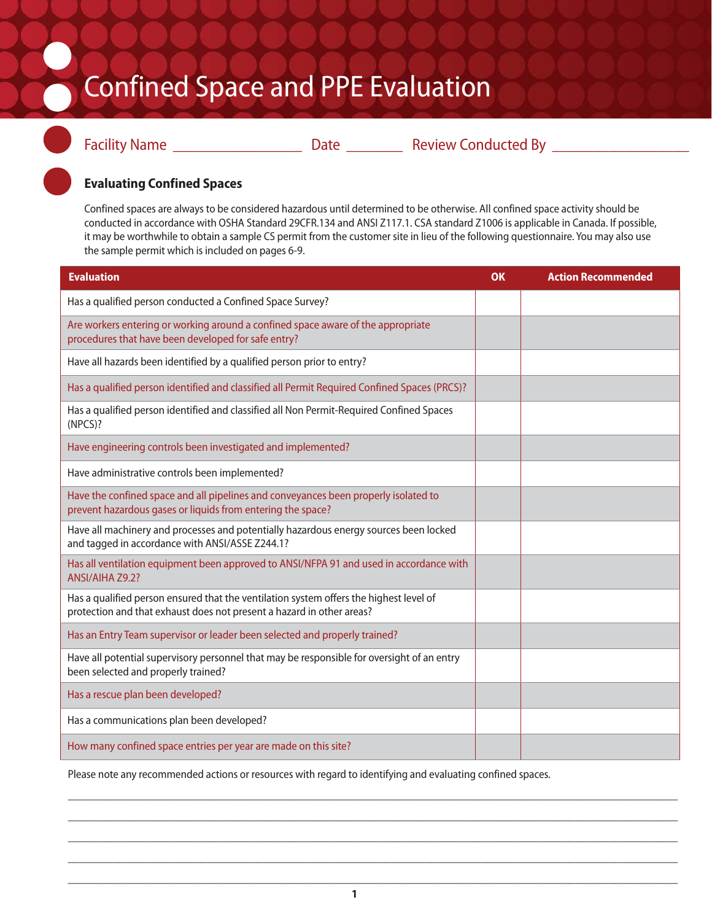## Confined Space and PPE Evaluation



Facility Name \_\_\_\_\_\_\_\_\_\_\_\_\_\_\_\_ Date \_\_\_\_\_\_\_ Review Conducted By \_\_\_\_\_\_\_\_\_\_\_\_\_\_\_\_\_

## **Evaluating Confined Spaces**

Confined spaces are always to be considered hazardous until determined to be otherwise. All confined space activity should be conducted in accordance with OSHA Standard 29CFR.134 and ANSI Z117.1. CSA standard Z1006 is applicable in Canada. If possible, it may be worthwhile to obtain a sample CS permit from the customer site in lieu of the following questionnaire. You may also use the sample permit which is included on pages 6-9.

| <b>Evaluation</b>                                                                                                                                               | OK | <b>Action Recommended</b> |
|-----------------------------------------------------------------------------------------------------------------------------------------------------------------|----|---------------------------|
| Has a qualified person conducted a Confined Space Survey?                                                                                                       |    |                           |
| Are workers entering or working around a confined space aware of the appropriate<br>procedures that have been developed for safe entry?                         |    |                           |
| Have all hazards been identified by a qualified person prior to entry?                                                                                          |    |                           |
| Has a qualified person identified and classified all Permit Required Confined Spaces (PRCS)?                                                                    |    |                           |
| Has a qualified person identified and classified all Non Permit-Required Confined Spaces<br>(NPCS)?                                                             |    |                           |
| Have engineering controls been investigated and implemented?                                                                                                    |    |                           |
| Have administrative controls been implemented?                                                                                                                  |    |                           |
| Have the confined space and all pipelines and conveyances been properly isolated to<br>prevent hazardous gases or liquids from entering the space?              |    |                           |
| Have all machinery and processes and potentially hazardous energy sources been locked<br>and tagged in accordance with ANSI/ASSE Z244.1?                        |    |                           |
| Has all ventilation equipment been approved to ANSI/NFPA 91 and used in accordance with<br>ANSI/AIHA Z9.2?                                                      |    |                           |
| Has a qualified person ensured that the ventilation system offers the highest level of<br>protection and that exhaust does not present a hazard in other areas? |    |                           |
| Has an Entry Team supervisor or leader been selected and properly trained?                                                                                      |    |                           |
| Have all potential supervisory personnel that may be responsible for oversight of an entry<br>been selected and properly trained?                               |    |                           |
| Has a rescue plan been developed?                                                                                                                               |    |                           |
| Has a communications plan been developed?                                                                                                                       |    |                           |
| How many confined space entries per year are made on this site?                                                                                                 |    |                           |

Please note any recommended actions or resources with regard to identifying and evaluating confined spaces.

\_\_\_\_\_\_\_\_\_\_\_\_\_\_\_\_\_\_\_\_\_\_\_\_\_\_\_\_\_\_\_\_\_\_\_\_\_\_\_\_\_\_\_\_\_\_\_\_\_\_\_\_\_\_\_\_\_\_\_\_\_\_\_\_\_\_\_\_\_\_\_\_\_\_\_\_\_\_\_\_\_\_\_\_\_\_\_\_\_\_\_\_\_\_\_\_\_\_\_\_\_\_\_\_\_\_ \_\_\_\_\_\_\_\_\_\_\_\_\_\_\_\_\_\_\_\_\_\_\_\_\_\_\_\_\_\_\_\_\_\_\_\_\_\_\_\_\_\_\_\_\_\_\_\_\_\_\_\_\_\_\_\_\_\_\_\_\_\_\_\_\_\_\_\_\_\_\_\_\_\_\_\_\_\_\_\_\_\_\_\_\_\_\_\_\_\_\_\_\_\_\_\_\_\_\_\_\_\_\_\_\_\_ \_\_\_\_\_\_\_\_\_\_\_\_\_\_\_\_\_\_\_\_\_\_\_\_\_\_\_\_\_\_\_\_\_\_\_\_\_\_\_\_\_\_\_\_\_\_\_\_\_\_\_\_\_\_\_\_\_\_\_\_\_\_\_\_\_\_\_\_\_\_\_\_\_\_\_\_\_\_\_\_\_\_\_\_\_\_\_\_\_\_\_\_\_\_\_\_\_\_\_\_\_\_\_\_\_\_ \_\_\_\_\_\_\_\_\_\_\_\_\_\_\_\_\_\_\_\_\_\_\_\_\_\_\_\_\_\_\_\_\_\_\_\_\_\_\_\_\_\_\_\_\_\_\_\_\_\_\_\_\_\_\_\_\_\_\_\_\_\_\_\_\_\_\_\_\_\_\_\_\_\_\_\_\_\_\_\_\_\_\_\_\_\_\_\_\_\_\_\_\_\_\_\_\_\_\_\_\_\_\_\_\_\_ \_\_\_\_\_\_\_\_\_\_\_\_\_\_\_\_\_\_\_\_\_\_\_\_\_\_\_\_\_\_\_\_\_\_\_\_\_\_\_\_\_\_\_\_\_\_\_\_\_\_\_\_\_\_\_\_\_\_\_\_\_\_\_\_\_\_\_\_\_\_\_\_\_\_\_\_\_\_\_\_\_\_\_\_\_\_\_\_\_\_\_\_\_\_\_\_\_\_\_\_\_\_\_\_\_\_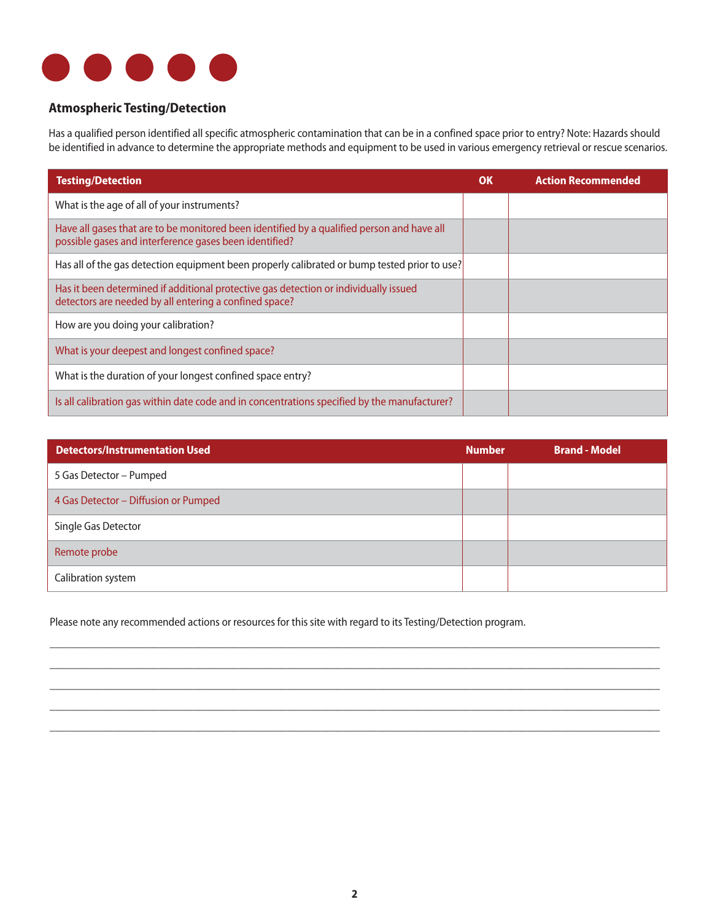

#### **Atmospheric Testing/Detection**

Has a qualified person identified all specific atmospheric contamination that can be in a confined space prior to entry? Note: Hazards should be identified in advance to determine the appropriate methods and equipment to be used in various emergency retrieval or rescue scenarios.

| <b>Testing/Detection</b>                                                                                                                             | OK | <b>Action Recommended</b> |
|------------------------------------------------------------------------------------------------------------------------------------------------------|----|---------------------------|
| What is the age of all of your instruments?                                                                                                          |    |                           |
| Have all gases that are to be monitored been identified by a qualified person and have all<br>possible gases and interference gases been identified? |    |                           |
| Has all of the gas detection equipment been properly calibrated or bump tested prior to use?                                                         |    |                           |
| Has it been determined if additional protective gas detection or individually issued<br>detectors are needed by all entering a confined space?       |    |                           |
| How are you doing your calibration?                                                                                                                  |    |                           |
| What is your deepest and longest confined space?                                                                                                     |    |                           |
| What is the duration of your longest confined space entry?                                                                                           |    |                           |
| Is all calibration gas within date code and in concentrations specified by the manufacturer?                                                         |    |                           |

| <b>Detectors/Instrumentation Used</b> | <b>Number</b> | <b>Brand - Model</b> |
|---------------------------------------|---------------|----------------------|
| 5 Gas Detector - Pumped               |               |                      |
| 4 Gas Detector - Diffusion or Pumped  |               |                      |
| Single Gas Detector                   |               |                      |
| Remote probe                          |               |                      |
| Calibration system                    |               |                      |

\_\_\_\_\_\_\_\_\_\_\_\_\_\_\_\_\_\_\_\_\_\_\_\_\_\_\_\_\_\_\_\_\_\_\_\_\_\_\_\_\_\_\_\_\_\_\_\_\_\_\_\_\_\_\_\_\_\_\_\_\_\_\_\_\_\_\_\_\_\_\_\_\_\_\_\_\_\_\_\_\_\_\_\_\_\_\_\_\_\_\_\_\_\_\_\_\_\_\_\_\_\_\_\_\_\_ \_\_\_\_\_\_\_\_\_\_\_\_\_\_\_\_\_\_\_\_\_\_\_\_\_\_\_\_\_\_\_\_\_\_\_\_\_\_\_\_\_\_\_\_\_\_\_\_\_\_\_\_\_\_\_\_\_\_\_\_\_\_\_\_\_\_\_\_\_\_\_\_\_\_\_\_\_\_\_\_\_\_\_\_\_\_\_\_\_\_\_\_\_\_\_\_\_\_\_\_\_\_\_\_\_\_ \_\_\_\_\_\_\_\_\_\_\_\_\_\_\_\_\_\_\_\_\_\_\_\_\_\_\_\_\_\_\_\_\_\_\_\_\_\_\_\_\_\_\_\_\_\_\_\_\_\_\_\_\_\_\_\_\_\_\_\_\_\_\_\_\_\_\_\_\_\_\_\_\_\_\_\_\_\_\_\_\_\_\_\_\_\_\_\_\_\_\_\_\_\_\_\_\_\_\_\_\_\_\_\_\_\_ \_\_\_\_\_\_\_\_\_\_\_\_\_\_\_\_\_\_\_\_\_\_\_\_\_\_\_\_\_\_\_\_\_\_\_\_\_\_\_\_\_\_\_\_\_\_\_\_\_\_\_\_\_\_\_\_\_\_\_\_\_\_\_\_\_\_\_\_\_\_\_\_\_\_\_\_\_\_\_\_\_\_\_\_\_\_\_\_\_\_\_\_\_\_\_\_\_\_\_\_\_\_\_\_\_\_ \_\_\_\_\_\_\_\_\_\_\_\_\_\_\_\_\_\_\_\_\_\_\_\_\_\_\_\_\_\_\_\_\_\_\_\_\_\_\_\_\_\_\_\_\_\_\_\_\_\_\_\_\_\_\_\_\_\_\_\_\_\_\_\_\_\_\_\_\_\_\_\_\_\_\_\_\_\_\_\_\_\_\_\_\_\_\_\_\_\_\_\_\_\_\_\_\_\_\_\_\_\_\_\_\_\_

Please note any recommended actions or resources for this site with regard to its Testing/Detection program.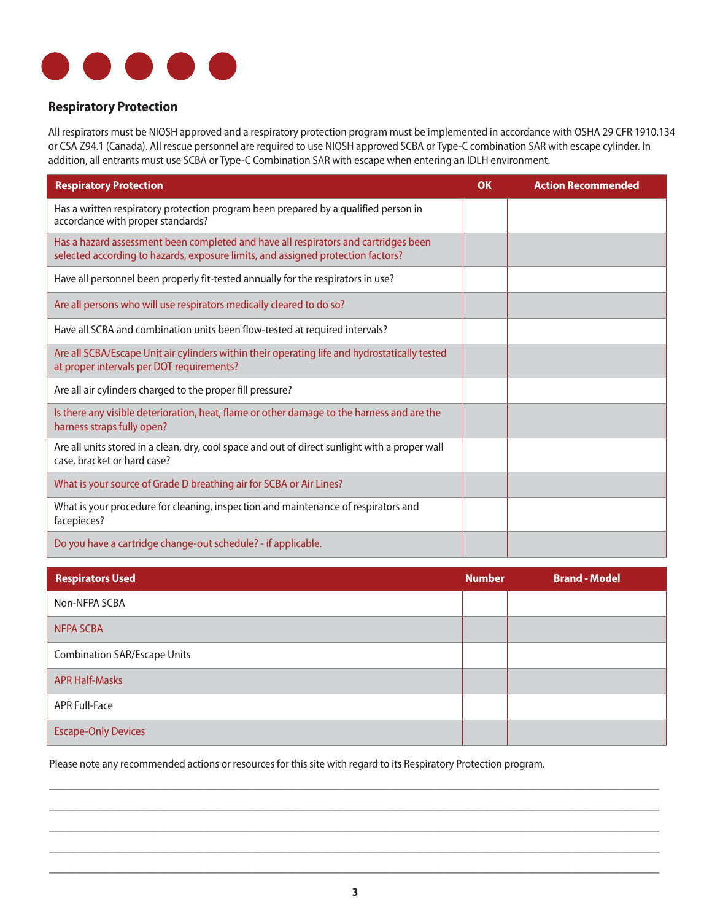

#### **Respiratory Protection**

All respirators must be NIOSH approved and a respiratory protection program must be implemented in accordance with OSHA 29 CFR 1910.134 or CSA Z94.1 (Canada). All rescue personnel are required to use NIOSH approved SCBA or Type-C combination SAR with escape cylinder. In addition, all entrants must use SCBA or Type-C Combination SAR with escape when entering an IDLH environment.

| <b>Respiratory Protection</b>                                                                                                                                           | OK | <b>Action Recommended</b> |
|-------------------------------------------------------------------------------------------------------------------------------------------------------------------------|----|---------------------------|
| Has a written respiratory protection program been prepared by a qualified person in<br>accordance with proper standards?                                                |    |                           |
| Has a hazard assessment been completed and have all respirators and cartridges been<br>selected according to hazards, exposure limits, and assigned protection factors? |    |                           |
| Have all personnel been properly fit-tested annually for the respirators in use?                                                                                        |    |                           |
| Are all persons who will use respirators medically cleared to do so?                                                                                                    |    |                           |
| Have all SCBA and combination units been flow-tested at required intervals?                                                                                             |    |                           |
| Are all SCBA/Escape Unit air cylinders within their operating life and hydrostatically tested<br>at proper intervals per DOT requirements?                              |    |                           |
| Are all air cylinders charged to the proper fill pressure?                                                                                                              |    |                           |
| Is there any visible deterioration, heat, flame or other damage to the harness and are the<br>harness straps fully open?                                                |    |                           |
| Are all units stored in a clean, dry, cool space and out of direct sunlight with a proper wall<br>case, bracket or hard case?                                           |    |                           |
| What is your source of Grade D breathing air for SCBA or Air Lines?                                                                                                     |    |                           |
| What is your procedure for cleaning, inspection and maintenance of respirators and<br>facepieces?                                                                       |    |                           |
| Do you have a cartridge change-out schedule? - if applicable.                                                                                                           |    |                           |

| <b>Respirators Used</b>             | <b>Number</b> | <b>Brand - Model</b> |
|-------------------------------------|---------------|----------------------|
| Non-NFPA SCBA                       |               |                      |
| <b>NFPA SCBA</b>                    |               |                      |
| <b>Combination SAR/Escape Units</b> |               |                      |
| <b>APR Half-Masks</b>               |               |                      |
| <b>APR Full-Face</b>                |               |                      |
| <b>Escape-Only Devices</b>          |               |                      |

Please note any recommended actions or resources for this site with regard to its Respiratory Protection program.

\_\_\_\_\_\_\_\_\_\_\_\_\_\_\_\_\_\_\_\_\_\_\_\_\_\_\_\_\_\_\_\_\_\_\_\_\_\_\_\_\_\_\_\_\_\_\_\_\_\_\_\_\_\_\_\_\_\_\_\_\_\_\_\_\_\_\_\_\_\_\_\_\_\_\_\_\_\_\_\_\_\_\_\_\_\_\_\_\_\_\_\_\_\_\_\_\_\_\_\_\_\_\_\_\_\_ \_\_\_\_\_\_\_\_\_\_\_\_\_\_\_\_\_\_\_\_\_\_\_\_\_\_\_\_\_\_\_\_\_\_\_\_\_\_\_\_\_\_\_\_\_\_\_\_\_\_\_\_\_\_\_\_\_\_\_\_\_\_\_\_\_\_\_\_\_\_\_\_\_\_\_\_\_\_\_\_\_\_\_\_\_\_\_\_\_\_\_\_\_\_\_\_\_\_\_\_\_\_\_\_\_\_ \_\_\_\_\_\_\_\_\_\_\_\_\_\_\_\_\_\_\_\_\_\_\_\_\_\_\_\_\_\_\_\_\_\_\_\_\_\_\_\_\_\_\_\_\_\_\_\_\_\_\_\_\_\_\_\_\_\_\_\_\_\_\_\_\_\_\_\_\_\_\_\_\_\_\_\_\_\_\_\_\_\_\_\_\_\_\_\_\_\_\_\_\_\_\_\_\_\_\_\_\_\_\_\_\_\_ \_\_\_\_\_\_\_\_\_\_\_\_\_\_\_\_\_\_\_\_\_\_\_\_\_\_\_\_\_\_\_\_\_\_\_\_\_\_\_\_\_\_\_\_\_\_\_\_\_\_\_\_\_\_\_\_\_\_\_\_\_\_\_\_\_\_\_\_\_\_\_\_\_\_\_\_\_\_\_\_\_\_\_\_\_\_\_\_\_\_\_\_\_\_\_\_\_\_\_\_\_\_\_\_\_\_ \_\_\_\_\_\_\_\_\_\_\_\_\_\_\_\_\_\_\_\_\_\_\_\_\_\_\_\_\_\_\_\_\_\_\_\_\_\_\_\_\_\_\_\_\_\_\_\_\_\_\_\_\_\_\_\_\_\_\_\_\_\_\_\_\_\_\_\_\_\_\_\_\_\_\_\_\_\_\_\_\_\_\_\_\_\_\_\_\_\_\_\_\_\_\_\_\_\_\_\_\_\_\_\_\_\_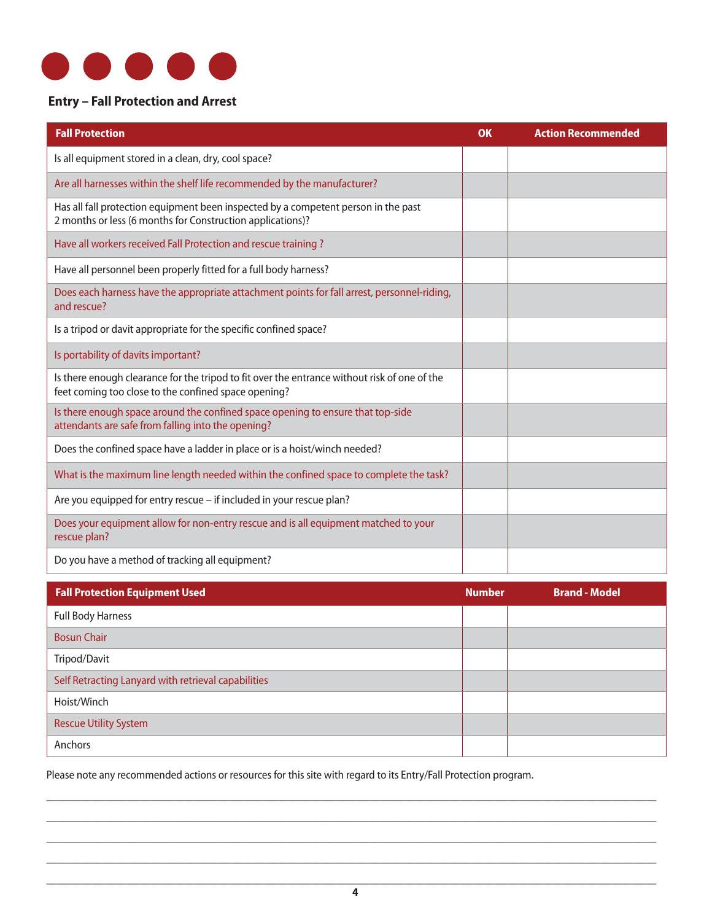

#### **Entry – Fall Protection and Arrest**

| <b>Fall Protection</b>                                                                                                                               | <b>OK</b> | <b>Action Recommended</b> |
|------------------------------------------------------------------------------------------------------------------------------------------------------|-----------|---------------------------|
| Is all equipment stored in a clean, dry, cool space?                                                                                                 |           |                           |
| Are all harnesses within the shelf life recommended by the manufacturer?                                                                             |           |                           |
| Has all fall protection equipment been inspected by a competent person in the past<br>2 months or less (6 months for Construction applications)?     |           |                           |
| Have all workers received Fall Protection and rescue training ?                                                                                      |           |                           |
| Have all personnel been properly fitted for a full body harness?                                                                                     |           |                           |
| Does each harness have the appropriate attachment points for fall arrest, personnel-riding,<br>and rescue?                                           |           |                           |
| Is a tripod or davit appropriate for the specific confined space?                                                                                    |           |                           |
| Is portability of davits important?                                                                                                                  |           |                           |
| Is there enough clearance for the tripod to fit over the entrance without risk of one of the<br>feet coming too close to the confined space opening? |           |                           |
| Is there enough space around the confined space opening to ensure that top-side<br>attendants are safe from falling into the opening?                |           |                           |
| Does the confined space have a ladder in place or is a hoist/winch needed?                                                                           |           |                           |
| What is the maximum line length needed within the confined space to complete the task?                                                               |           |                           |
| Are you equipped for entry rescue - if included in your rescue plan?                                                                                 |           |                           |
| Does your equipment allow for non-entry rescue and is all equipment matched to your<br>rescue plan?                                                  |           |                           |
| Do you have a method of tracking all equipment?                                                                                                      |           |                           |

| <b>Fall Protection Equipment Used</b>               | <b>Number</b> | <b>Brand - Model</b> |
|-----------------------------------------------------|---------------|----------------------|
| <b>Full Body Harness</b>                            |               |                      |
| <b>Bosun Chair</b>                                  |               |                      |
| Tripod/Davit                                        |               |                      |
| Self Retracting Lanyard with retrieval capabilities |               |                      |
| Hoist/Winch                                         |               |                      |
| <b>Rescue Utility System</b>                        |               |                      |
| Anchors                                             |               |                      |

Please note any recommended actions or resources for this site with regard to its Entry/Fall Protection program.

\_\_\_\_\_\_\_\_\_\_\_\_\_\_\_\_\_\_\_\_\_\_\_\_\_\_\_\_\_\_\_\_\_\_\_\_\_\_\_\_\_\_\_\_\_\_\_\_\_\_\_\_\_\_\_\_\_\_\_\_\_\_\_\_\_\_\_\_\_\_\_\_\_\_\_\_\_\_\_\_\_\_\_\_\_\_\_\_\_\_\_\_\_\_\_\_\_\_\_\_\_\_\_\_\_\_ \_\_\_\_\_\_\_\_\_\_\_\_\_\_\_\_\_\_\_\_\_\_\_\_\_\_\_\_\_\_\_\_\_\_\_\_\_\_\_\_\_\_\_\_\_\_\_\_\_\_\_\_\_\_\_\_\_\_\_\_\_\_\_\_\_\_\_\_\_\_\_\_\_\_\_\_\_\_\_\_\_\_\_\_\_\_\_\_\_\_\_\_\_\_\_\_\_\_\_\_\_\_\_\_\_\_ \_\_\_\_\_\_\_\_\_\_\_\_\_\_\_\_\_\_\_\_\_\_\_\_\_\_\_\_\_\_\_\_\_\_\_\_\_\_\_\_\_\_\_\_\_\_\_\_\_\_\_\_\_\_\_\_\_\_\_\_\_\_\_\_\_\_\_\_\_\_\_\_\_\_\_\_\_\_\_\_\_\_\_\_\_\_\_\_\_\_\_\_\_\_\_\_\_\_\_\_\_\_\_\_\_\_ \_\_\_\_\_\_\_\_\_\_\_\_\_\_\_\_\_\_\_\_\_\_\_\_\_\_\_\_\_\_\_\_\_\_\_\_\_\_\_\_\_\_\_\_\_\_\_\_\_\_\_\_\_\_\_\_\_\_\_\_\_\_\_\_\_\_\_\_\_\_\_\_\_\_\_\_\_\_\_\_\_\_\_\_\_\_\_\_\_\_\_\_\_\_\_\_\_\_\_\_\_\_\_\_\_\_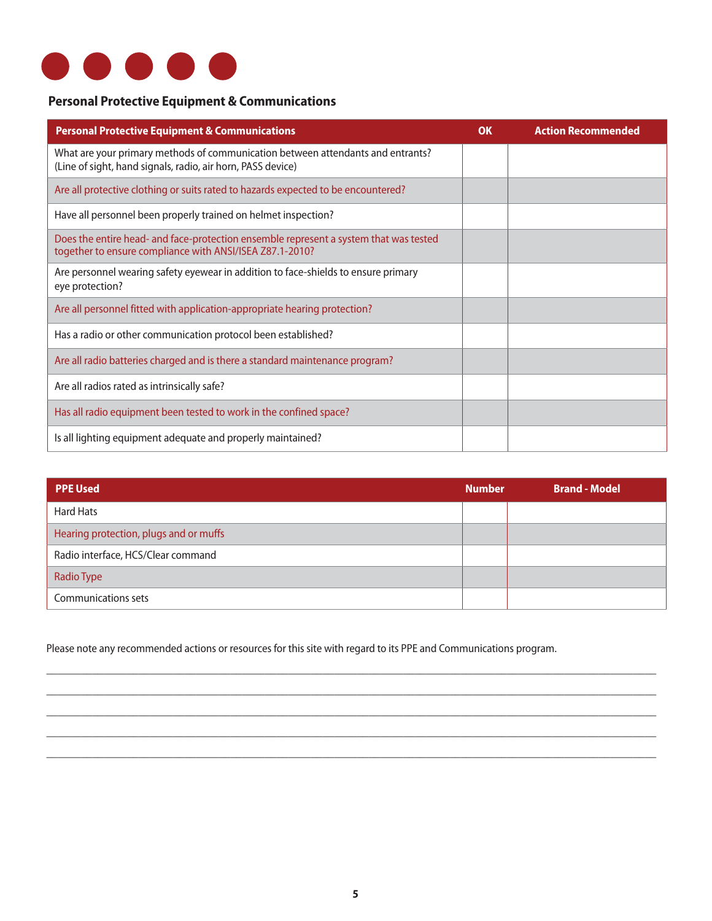

#### **Personal Protective Equipment & Communications**

| <b>Personal Protective Equipment &amp; Communications</b>                                                                                         | <b>OK</b> | <b>Action Recommended</b> |
|---------------------------------------------------------------------------------------------------------------------------------------------------|-----------|---------------------------|
| What are your primary methods of communication between attendants and entrants?<br>(Line of sight, hand signals, radio, air horn, PASS device)    |           |                           |
| Are all protective clothing or suits rated to hazards expected to be encountered?                                                                 |           |                           |
| Have all personnel been properly trained on helmet inspection?                                                                                    |           |                           |
| Does the entire head- and face-protection ensemble represent a system that was tested<br>together to ensure compliance with ANSI/ISEA Z87.1-2010? |           |                           |
| Are personnel wearing safety eyewear in addition to face-shields to ensure primary<br>eye protection?                                             |           |                           |
| Are all personnel fitted with application-appropriate hearing protection?                                                                         |           |                           |
| Has a radio or other communication protocol been established?                                                                                     |           |                           |
| Are all radio batteries charged and is there a standard maintenance program?                                                                      |           |                           |
| Are all radios rated as intrinsically safe?                                                                                                       |           |                           |
| Has all radio equipment been tested to work in the confined space?                                                                                |           |                           |
| Is all lighting equipment adequate and properly maintained?                                                                                       |           |                           |

| PPE Used                               | <b>Number</b> | <b>Brand - Model</b> |
|----------------------------------------|---------------|----------------------|
| <b>Hard Hats</b>                       |               |                      |
| Hearing protection, plugs and or muffs |               |                      |
| Radio interface, HCS/Clear command     |               |                      |
| Radio Type                             |               |                      |
| <b>Communications sets</b>             |               |                      |

\_\_\_\_\_\_\_\_\_\_\_\_\_\_\_\_\_\_\_\_\_\_\_\_\_\_\_\_\_\_\_\_\_\_\_\_\_\_\_\_\_\_\_\_\_\_\_\_\_\_\_\_\_\_\_\_\_\_\_\_\_\_\_\_\_\_\_\_\_\_\_\_\_\_\_\_\_\_\_\_\_\_\_\_\_\_\_\_\_\_\_\_\_\_\_\_\_\_\_\_\_\_\_\_\_\_ \_\_\_\_\_\_\_\_\_\_\_\_\_\_\_\_\_\_\_\_\_\_\_\_\_\_\_\_\_\_\_\_\_\_\_\_\_\_\_\_\_\_\_\_\_\_\_\_\_\_\_\_\_\_\_\_\_\_\_\_\_\_\_\_\_\_\_\_\_\_\_\_\_\_\_\_\_\_\_\_\_\_\_\_\_\_\_\_\_\_\_\_\_\_\_\_\_\_\_\_\_\_\_\_\_\_ \_\_\_\_\_\_\_\_\_\_\_\_\_\_\_\_\_\_\_\_\_\_\_\_\_\_\_\_\_\_\_\_\_\_\_\_\_\_\_\_\_\_\_\_\_\_\_\_\_\_\_\_\_\_\_\_\_\_\_\_\_\_\_\_\_\_\_\_\_\_\_\_\_\_\_\_\_\_\_\_\_\_\_\_\_\_\_\_\_\_\_\_\_\_\_\_\_\_\_\_\_\_\_\_\_\_ \_\_\_\_\_\_\_\_\_\_\_\_\_\_\_\_\_\_\_\_\_\_\_\_\_\_\_\_\_\_\_\_\_\_\_\_\_\_\_\_\_\_\_\_\_\_\_\_\_\_\_\_\_\_\_\_\_\_\_\_\_\_\_\_\_\_\_\_\_\_\_\_\_\_\_\_\_\_\_\_\_\_\_\_\_\_\_\_\_\_\_\_\_\_\_\_\_\_\_\_\_\_\_\_\_\_ \_\_\_\_\_\_\_\_\_\_\_\_\_\_\_\_\_\_\_\_\_\_\_\_\_\_\_\_\_\_\_\_\_\_\_\_\_\_\_\_\_\_\_\_\_\_\_\_\_\_\_\_\_\_\_\_\_\_\_\_\_\_\_\_\_\_\_\_\_\_\_\_\_\_\_\_\_\_\_\_\_\_\_\_\_\_\_\_\_\_\_\_\_\_\_\_\_\_\_\_\_\_\_\_\_\_

Please note any recommended actions or resources for this site with regard to its PPE and Communications program.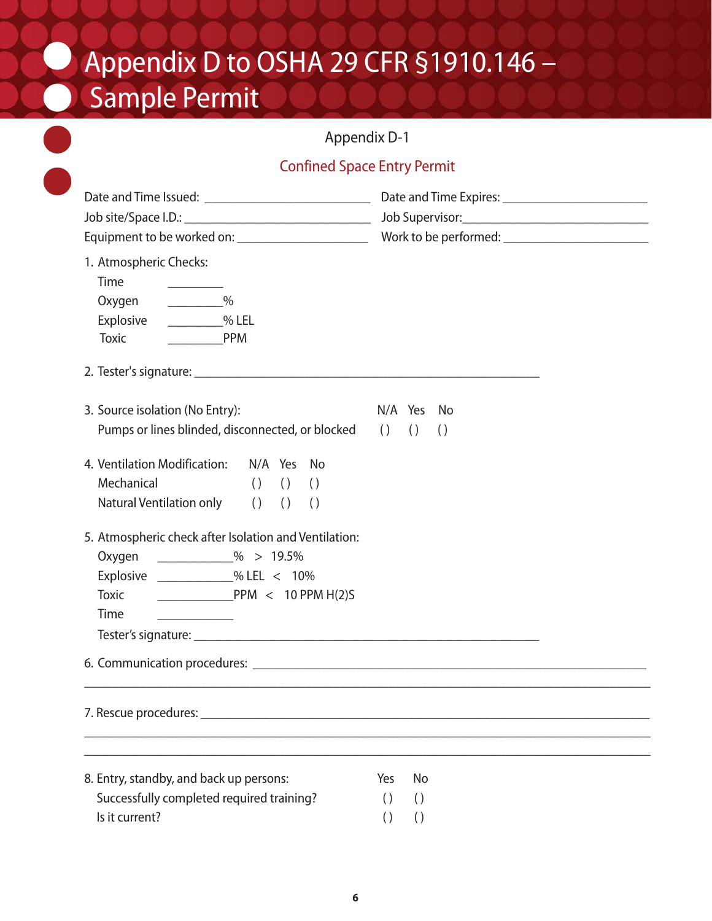# Appendix D to OSHA 29 CFR §1910.146 – Sample Permit

## Appendix D-1

## Confined Space Entry Permit

| Appendix D-1                                                                                                                                                                                          |                                      |                                      |
|-------------------------------------------------------------------------------------------------------------------------------------------------------------------------------------------------------|--------------------------------------|--------------------------------------|
| <b>Confined Space Entry Permit</b>                                                                                                                                                                    |                                      |                                      |
|                                                                                                                                                                                                       |                                      |                                      |
| 1. Atmospheric Checks:<br>Time<br>$\frac{9}{6}$<br>Oxygen<br>% LEL<br>Explosive<br><b>Toxic</b><br><b>PPM</b>                                                                                         |                                      |                                      |
| 3. Source isolation (No Entry):<br>Pumps or lines blinded, disconnected, or blocked () ()                                                                                                             |                                      | N/A Yes No<br>$\left( \right)$       |
| 4. Ventilation Modification: N/A Yes No<br>Mechanical<br>$( )$ $( )$ $( )$ $( )$<br>Natural Ventilation only () () ()                                                                                 |                                      |                                      |
| 5. Atmospheric check after Isolation and Ventilation:<br>Oxygen ____________% > 19.5%<br>Explosive _____________% LEL < 10%<br><b>Toxic</b><br>$PPM < 10$ PPM $H(2)$ S<br>Time<br>Tester's signature: |                                      |                                      |
|                                                                                                                                                                                                       |                                      |                                      |
|                                                                                                                                                                                                       |                                      |                                      |
| 8. Entry, standby, and back up persons:                                                                                                                                                               | Yes                                  | No                                   |
| Successfully completed required training?<br>Is it current?                                                                                                                                           | $\left( \right)$<br>$\left( \right)$ | $\left( \right)$<br>$\left( \right)$ |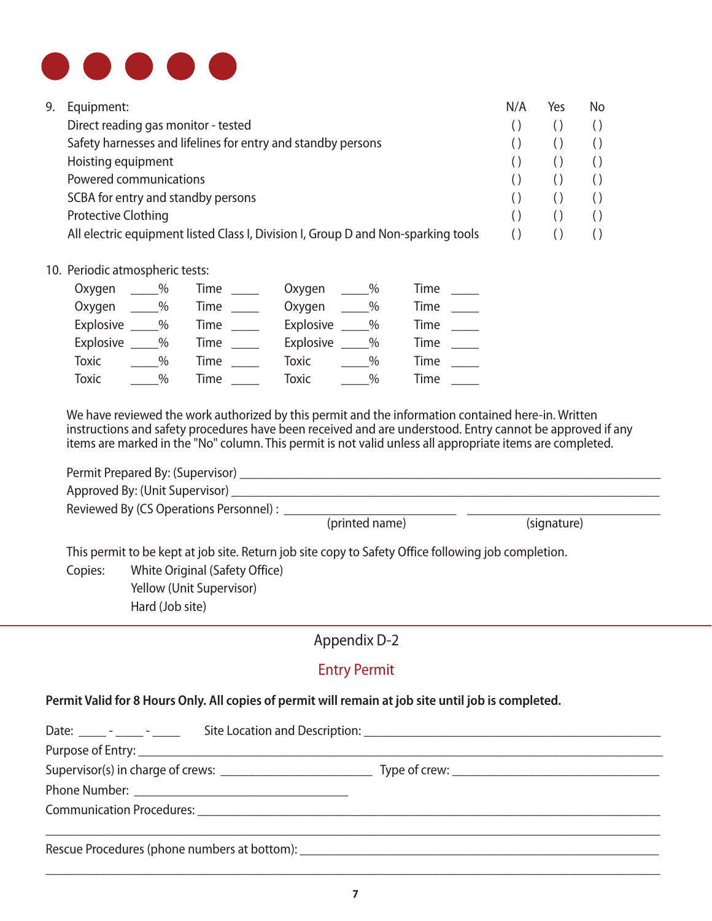

| Equipment:                                                                        | N/A | Yes | No |
|-----------------------------------------------------------------------------------|-----|-----|----|
| Direct reading gas monitor - tested                                               |     |     |    |
| Safety harnesses and lifelines for entry and standby persons                      |     |     |    |
| Hoisting equipment                                                                |     |     |    |
| Powered communications                                                            |     |     |    |
| SCBA for entry and standby persons                                                |     |     |    |
| <b>Protective Clothing</b>                                                        |     |     |    |
| All electric equipment listed Class I, Division I, Group D and Non-sparking tools |     |     |    |
|                                                                                   |     |     |    |

#### 10. Periodic atmospheric tests:

| Oxygen          | $\sim$ % | Time $\_\_$        | $\frac{9}{6}$<br>Oxygen | Time |
|-----------------|----------|--------------------|-------------------------|------|
| Oxygen          | $\sim$ % | Time $\_\_$        | $\sim$ %<br>Oxygen      | Time |
| Explosive ____% |          | Time $\_\_\_\_\_\$ | Explosive ____%         | Time |
| Explosive ____% |          | Time               | Explosive ____%         | Time |
| <b>Toxic</b>    | $\%$     | <b>Time</b>        | Toxic<br>$\%$           | Time |
| <b>Toxic</b>    | $\%$     | Time               | Toxic<br>$\%$           | Time |

We have reviewed the work authorized by this permit and the information contained here-in. Written instructions and safety procedures have been received and are understood. Entry cannot be approved if any items are marked in the "No" column. This permit is not valid unless all appropriate items are completed.

|         | Permit Prepared By: (Supervisor) _                                                                  |                |             |  |
|---------|-----------------------------------------------------------------------------------------------------|----------------|-------------|--|
|         | Approved By: (Unit Supervisor) ___                                                                  |                |             |  |
|         | Reviewed By (CS Operations Personnel) :                                                             |                |             |  |
|         |                                                                                                     | (printed name) | (signature) |  |
|         | This permit to be kept at job site. Return job site copy to Safety Office following job completion. |                |             |  |
| Copies: | White Original (Safety Office)                                                                      |                |             |  |
|         | Yellow (Unit Supervisor)                                                                            |                |             |  |
|         | Hard (Job site)                                                                                     |                |             |  |

## Appendix D-2

## Entry Permit

## **Permit Valid for 8 Hours Only. All copies of permit will remain at job site until job is completed.**

| Rescue Procedures (phone numbers at bottom): ___________________________________ |  |
|----------------------------------------------------------------------------------|--|

\_\_\_\_\_\_\_\_\_\_\_\_\_\_\_\_\_\_\_\_\_\_\_\_\_\_\_\_\_\_\_\_\_\_\_\_\_\_\_\_\_\_\_\_\_\_\_\_\_\_\_\_\_\_\_\_\_\_\_\_\_\_\_\_\_\_\_\_\_\_\_\_\_\_\_\_\_\_\_\_\_\_\_\_\_\_\_\_\_